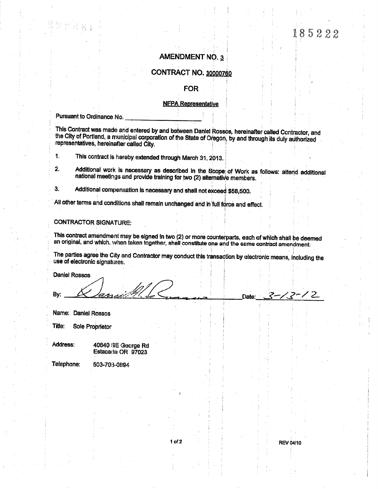# 185222

### **AMENDMENT NO. 3**

## CONTRACT NO. 30000760

#### **FOR**

#### **NFPA Representative**

Pursuant to Ordinance No.

This Contract was made and entered by and between Daniel Rossos, hereinafter called Contractor, and the City of Portland, a municipal corporation of the State of Oregon, by and through its duly authorized representatives, hereinafter called City.

 $\ddagger$ . This contract is hereby extended through March 31, 2013.

 $2.$ Additional work is necessary as described in the Scope of Work as follows: attend additional national meetings and provide training for two (2) alternative members.

3. Additional compensation is necessary and shall not exceed \$58,500.

All other terms and conditions shall remain unchanged and in full force and effect.

# **CONTRACTOR SIGNATURE:**

This contract amendment may be signed in two (2) or more counterparts, each of which shall be deemed an original, and which, when taken together, shall constitute one and the same contract amendment.

The parties agree the City and Contractor may conduct this transaction by electronic means, including the use of electronic signatures.

**Daniel Rossos** 

By:

Name: Daniel Rossos

Title: Sole Proprietor

Address: 40640 SE George Rd Estacada OR 97023

Telephone:

503-708-0894

 $2 - 12 - 2$ 

Date: